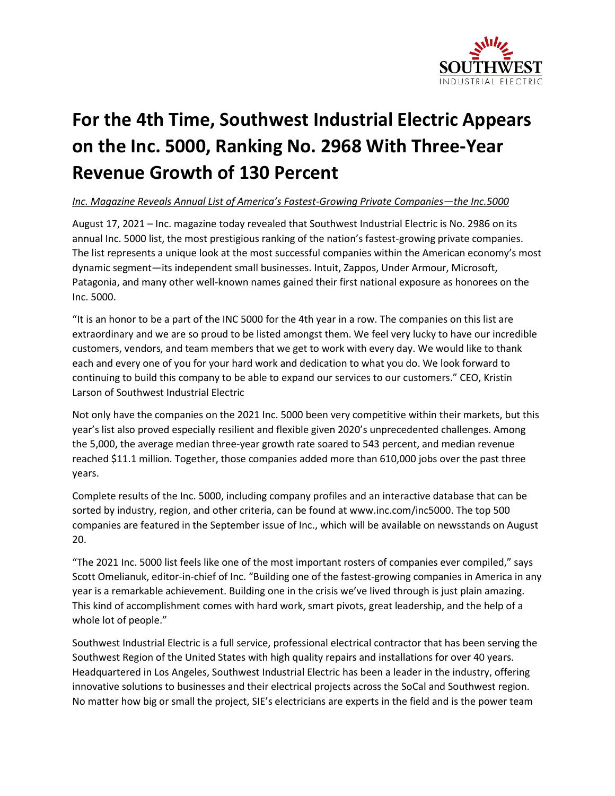

## **For the 4th Time, Southwest Industrial Electric Appears on the Inc. 5000, Ranking No. 2968 With Three-Year Revenue Growth of 130 Percent**

## *Inc. Magazine Reveals Annual List of America's Fastest-Growing Private Companies—the Inc.5000*

August 17, 2021 – Inc. magazine today revealed that Southwest Industrial Electric is No. 2986 on its annual Inc. 5000 list, the most prestigious ranking of the nation's fastest-growing private companies. The list represents a unique look at the most successful companies within the American economy's most dynamic segment—its independent small businesses. Intuit, Zappos, Under Armour, Microsoft, Patagonia, and many other well-known names gained their first national exposure as honorees on the Inc. 5000.

"It is an honor to be a part of the INC 5000 for the 4th year in a row. The companies on this list are extraordinary and we are so proud to be listed amongst them. We feel very lucky to have our incredible customers, vendors, and team members that we get to work with every day. We would like to thank each and every one of you for your hard work and dedication to what you do. We look forward to continuing to build this company to be able to expand our services to our customers." CEO, Kristin Larson of Southwest Industrial Electric

Not only have the companies on the 2021 Inc. 5000 been very competitive within their markets, but this year's list also proved especially resilient and flexible given 2020's unprecedented challenges. Among the 5,000, the average median three-year growth rate soared to 543 percent, and median revenue reached \$11.1 million. Together, those companies added more than 610,000 jobs over the past three years.

Complete results of the Inc. 5000, including company profiles and an interactive database that can be sorted by industry, region, and other criteria, can be found at www.inc.com/inc5000. The top 500 companies are featured in the September issue of Inc., which will be available on newsstands on August 20.

"The 2021 Inc. 5000 list feels like one of the most important rosters of companies ever compiled," says Scott Omelianuk, editor-in-chief of Inc. "Building one of the fastest-growing companies in America in any year is a remarkable achievement. Building one in the crisis we've lived through is just plain amazing. This kind of accomplishment comes with hard work, smart pivots, great leadership, and the help of a whole lot of people."

Southwest Industrial Electric is a full service, professional electrical contractor that has been serving the Southwest Region of the United States with high quality repairs and installations for over 40 years. Headquartered in Los Angeles, Southwest Industrial Electric has been a leader in the industry, offering innovative solutions to businesses and their electrical projects across the SoCal and Southwest region. No matter how big or small the project, SIE's electricians are experts in the field and is the power team